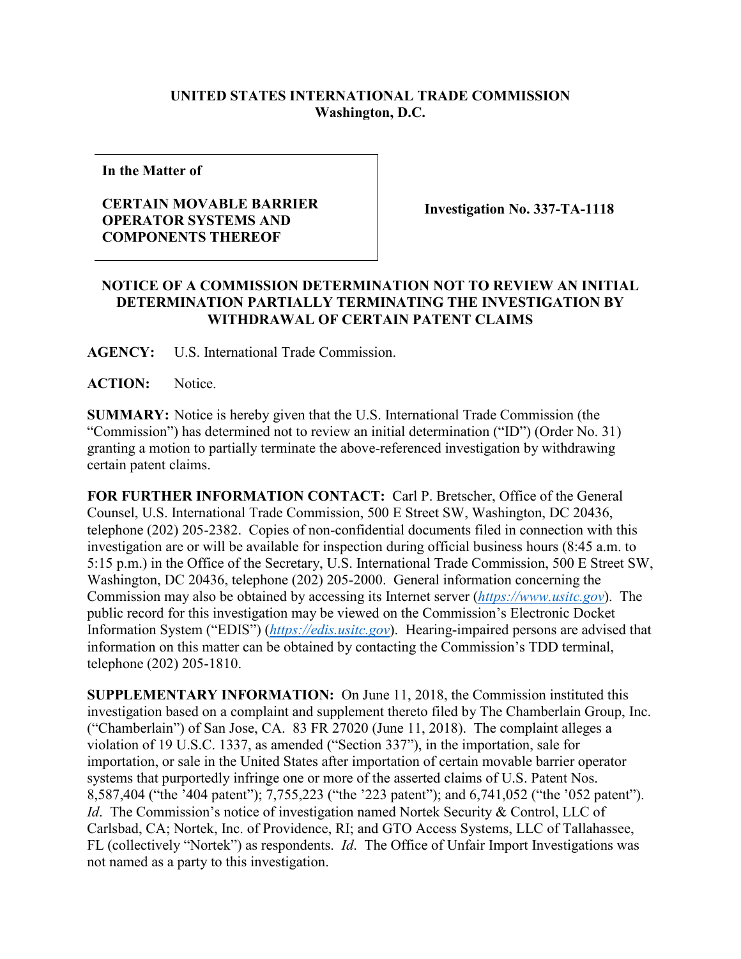## **UNITED STATES INTERNATIONAL TRADE COMMISSION Washington, D.C.**

**In the Matter of**

## **CERTAIN MOVABLE BARRIER OPERATOR SYSTEMS AND COMPONENTS THEREOF**

**Investigation No. 337-TA-1118**

## **NOTICE OF A COMMISSION DETERMINATION NOT TO REVIEW AN INITIAL DETERMINATION PARTIALLY TERMINATING THE INVESTIGATION BY WITHDRAWAL OF CERTAIN PATENT CLAIMS**

**AGENCY:** U.S. International Trade Commission.

**ACTION:** Notice.

**SUMMARY:** Notice is hereby given that the U.S. International Trade Commission (the "Commission") has determined not to review an initial determination ("ID") (Order No. 31) granting a motion to partially terminate the above-referenced investigation by withdrawing certain patent claims.

**FOR FURTHER INFORMATION CONTACT:** Carl P. Bretscher, Office of the General Counsel, U.S. International Trade Commission, 500 E Street SW, Washington, DC 20436, telephone (202) 205-2382. Copies of non-confidential documents filed in connection with this investigation are or will be available for inspection during official business hours (8:45 a.m. to 5:15 p.m.) in the Office of the Secretary, U.S. International Trade Commission, 500 E Street SW, Washington, DC 20436, telephone (202) 205-2000. General information concerning the Commission may also be obtained by accessing its Internet server (*[https://www.usitc.gov](https://www.usitc.gov/)*). The public record for this investigation may be viewed on the Commission's Electronic Docket Information System ("EDIS") (*[https://edis.usitc.gov](https://edis.usitc.gov/)*). Hearing-impaired persons are advised that information on this matter can be obtained by contacting the Commission's TDD terminal, telephone (202) 205-1810.

**SUPPLEMENTARY INFORMATION:** On June 11, 2018, the Commission instituted this investigation based on a complaint and supplement thereto filed by The Chamberlain Group, Inc. ("Chamberlain") of San Jose, CA. 83 FR 27020 (June 11, 2018). The complaint alleges a violation of 19 U.S.C. 1337, as amended ("Section 337"), in the importation, sale for importation, or sale in the United States after importation of certain movable barrier operator systems that purportedly infringe one or more of the asserted claims of U.S. Patent Nos. 8,587,404 ("the '404 patent"); 7,755,223 ("the '223 patent"); and 6,741,052 ("the '052 patent"). *Id.* The Commission's notice of investigation named Nortek Security & Control, LLC of Carlsbad, CA; Nortek, Inc. of Providence, RI; and GTO Access Systems, LLC of Tallahassee, FL (collectively "Nortek") as respondents. *Id*. The Office of Unfair Import Investigations was not named as a party to this investigation.